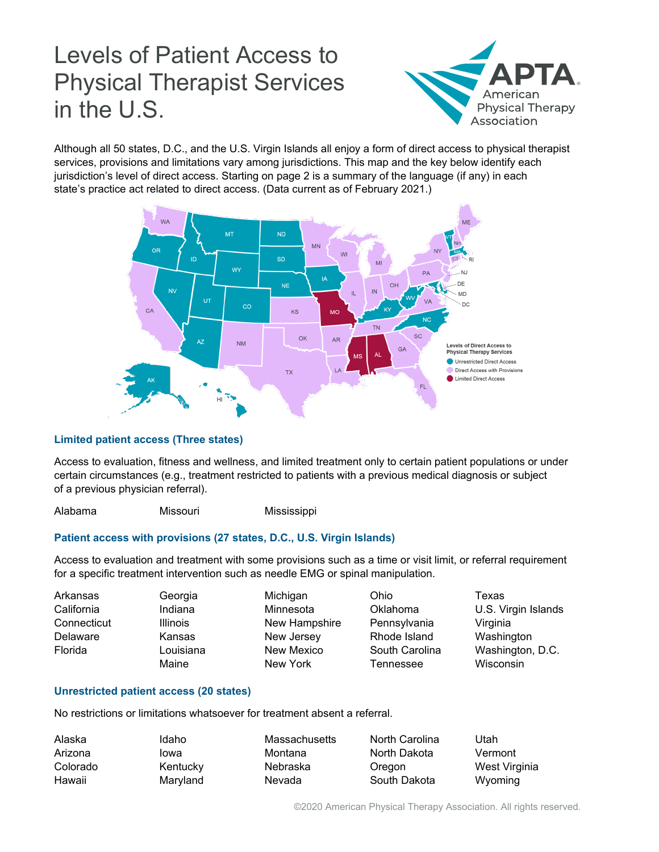# Levels of Patient Access to Physical Therapist Services in the U.S.



Although all 50 states, D.C., and the U.S. Virgin Islands all enjoy a form of direct access to physical therapist services, provisions and limitations vary among jurisdictions. This map and the key below identify each jurisdiction's level of direct access. Starting on page 2 is a summary of the language (if any) in each state's practice act related to direct access. (Data current as of February 2021.)



## **Limited patient access (Three states)**

Access to evaluation, fitness and wellness, and limited treatment only to certain patient populations or under certain circumstances (e.g., treatment restricted to patients with a previous medical diagnosis or subject of a previous physician referral).

Alabama Missouri Mississippi

## **Patient access with provisions (27 states, D.C., U.S. Virgin Islands)**

Access to evaluation and treatment with some provisions such as a time or visit limit, or referral requirement for a specific treatment intervention such as needle EMG or spinal manipulation.

| Arkansas<br>California<br>Connecticut<br>Delaware<br>Florida | Georgia<br>Indiana<br><b>Illinois</b><br>Kansas<br>Louisiana<br>Maine | Michigan<br>Minnesota<br>New Hampshire<br>New Jersey<br>New Mexico<br>New York | Ohio<br>Oklahoma<br>Pennsylvania<br>Rhode Island<br>South Carolina<br>Tennessee | Texas<br>U.S. Virgin Islands<br>Virginia<br>Washington<br>Washington, D.C.<br>Wisconsin |
|--------------------------------------------------------------|-----------------------------------------------------------------------|--------------------------------------------------------------------------------|---------------------------------------------------------------------------------|-----------------------------------------------------------------------------------------|
|--------------------------------------------------------------|-----------------------------------------------------------------------|--------------------------------------------------------------------------------|---------------------------------------------------------------------------------|-----------------------------------------------------------------------------------------|

## **Unrestricted patient access (20 states)**

No restrictions or limitations whatsoever for treatment absent a referral.

| Alaska   | Idaho    | Massachusetts | North Carolina | Utah          |
|----------|----------|---------------|----------------|---------------|
| Arizona  | lowa     | Montana       | North Dakota   | Vermont       |
| Colorado | Kentucky | Nebraska      | Oregon         | West Virginia |
| Hawaii   | Maryland | Nevada        | South Dakota   | Wyoming       |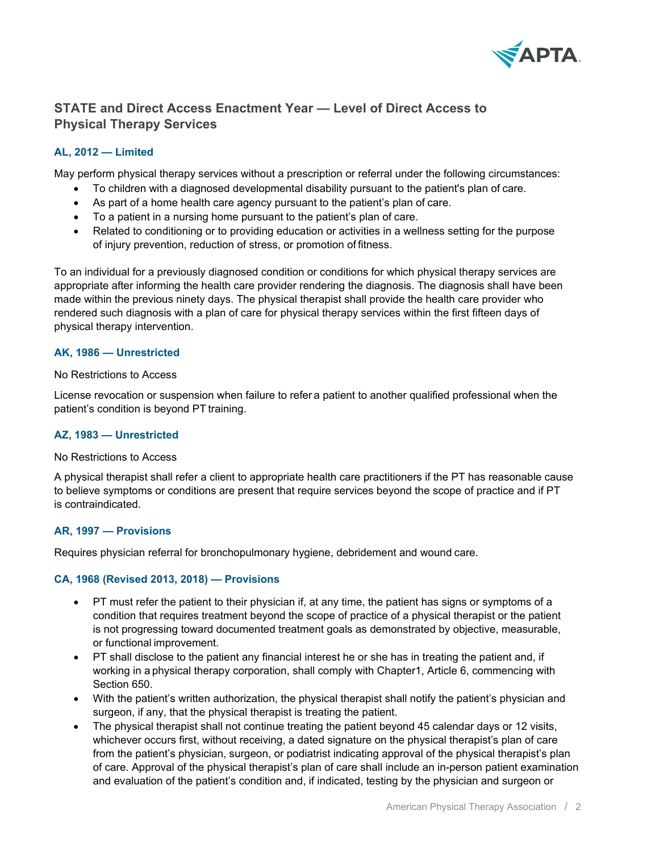

## **STATE and Direct Access Enactment Year — Level of Direct Access to Physical Therapy Services**

## **AL, 2012 — Limited**

May perform physical therapy services without a prescription or referral under the following circumstances:

- To children with a diagnosed developmental disability pursuant to the patient's plan of care.
- As part of a home health care agency pursuant to the patient's plan of care.
- To a patient in a nursing home pursuant to the patient's plan of care.
- Related to conditioning or to providing education or activities in a wellness setting for the purpose of injury prevention, reduction of stress, or promotion of fitness.

To an individual for a previously diagnosed condition or conditions for which physical therapy services are appropriate after informing the health care provider rendering the diagnosis. The diagnosis shall have been made within the previous ninety days. The physical therapist shall provide the health care provider who rendered such diagnosis with a plan of care for physical therapy services within the first fifteen days of physical therapy intervention.

#### **AK, 1986 — Unrestricted**

#### No Restrictions to Access

License revocation or suspension when failure to refer a patient to another qualified professional when the patient's condition is beyond PT training.

## **AZ, 1983 — Unrestricted**

#### No Restrictions to Access

A physical therapist shall refer a client to appropriate health care practitioners if the PT has reasonable cause to believe symptoms or conditions are present that require services beyond the scope of practice and if PT is contraindicated.

#### **AR, 1997 — Provisions**

Requires physician referral for bronchopulmonary hygiene, debridement and wound care.

#### **CA, 1968 (Revised 2013, 2018) — Provisions**

- PT must refer the patient to their physician if, at any time, the patient has signs or symptoms of a condition that requires treatment beyond the scope of practice of a physical therapist or the patient is not progressing toward documented treatment goals as demonstrated by objective, measurable, or functional improvement.
- PT shall disclose to the patient any financial interest he or she has in treating the patient and, if working in a physical therapy corporation, shall comply with Chapter1, Article 6, commencing with Section 650.
- With the patient's written authorization, the physical therapist shall notify the patient's physician and surgeon, if any, that the physical therapist is treating the patient.
- The physical therapist shall not continue treating the patient beyond 45 calendar days or 12 visits, whichever occurs first, without receiving, a dated signature on the physical therapist's plan of care from the patient's physician, surgeon, or podiatrist indicating approval of the physical therapist's plan of care. Approval of the physical therapist's plan of care shall include an in-person patient examination and evaluation of the patient's condition and, if indicated, testing by the physician and surgeon or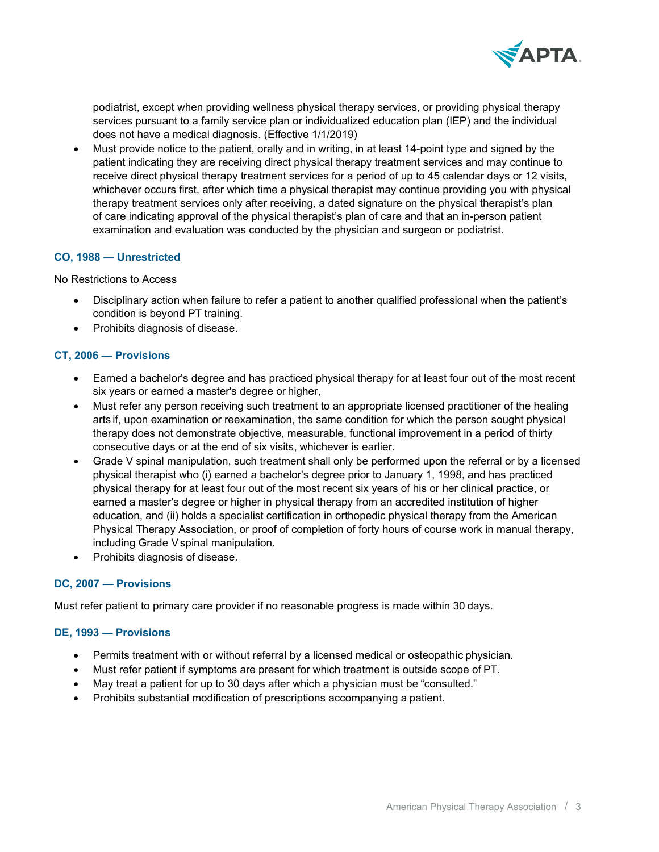

podiatrist, except when providing wellness physical therapy services, or providing physical therapy services pursuant to a family service plan or individualized education plan (IEP) and the individual does not have a medical diagnosis. (Effective 1/1/2019)

• Must provide notice to the patient, orally and in writing, in at least 14-point type and signed by the patient indicating they are receiving direct physical therapy treatment services and may continue to receive direct physical therapy treatment services for a period of up to 45 calendar days or 12 visits, whichever occurs first, after which time a physical therapist may continue providing you with physical therapy treatment services only after receiving, a dated signature on the physical therapist's plan of care indicating approval of the physical therapist's plan of care and that an in-person patient examination and evaluation was conducted by the physician and surgeon or podiatrist.

#### **CO, 1988 — Unrestricted**

No Restrictions to Access

- Disciplinary action when failure to refer a patient to another qualified professional when the patient's condition is beyond PT training.
- Prohibits diagnosis of disease.

#### **CT, 2006 — Provisions**

- Earned a bachelor's degree and has practiced physical therapy for at least four out of the most recent six years or earned a master's degree or higher,
- Must refer any person receiving such treatment to an appropriate licensed practitioner of the healing arts if, upon examination or reexamination, the same condition for which the person sought physical therapy does not demonstrate objective, measurable, functional improvement in a period of thirty consecutive days or at the end of six visits, whichever is earlier.
- Grade V spinal manipulation, such treatment shall only be performed upon the referral or by a licensed physical therapist who (i) earned a bachelor's degree prior to January 1, 1998, and has practiced physical therapy for at least four out of the most recent six years of his or her clinical practice, or earned a master's degree or higher in physical therapy from an accredited institution of higher education, and (ii) holds a specialist certification in orthopedic physical therapy from the American Physical Therapy Association, or proof of completion of forty hours of course work in manual therapy, including Grade Vspinal manipulation.
- Prohibits diagnosis of disease.

#### **DC, 2007 — Provisions**

Must refer patient to primary care provider if no reasonable progress is made within 30 days.

#### **DE, 1993 — Provisions**

- Permits treatment with or without referral by a licensed medical or osteopathic physician.
- Must refer patient if symptoms are present for which treatment is outside scope of PT.
- May treat a patient for up to 30 days after which a physician must be "consulted."
- Prohibits substantial modification of prescriptions accompanying a patient.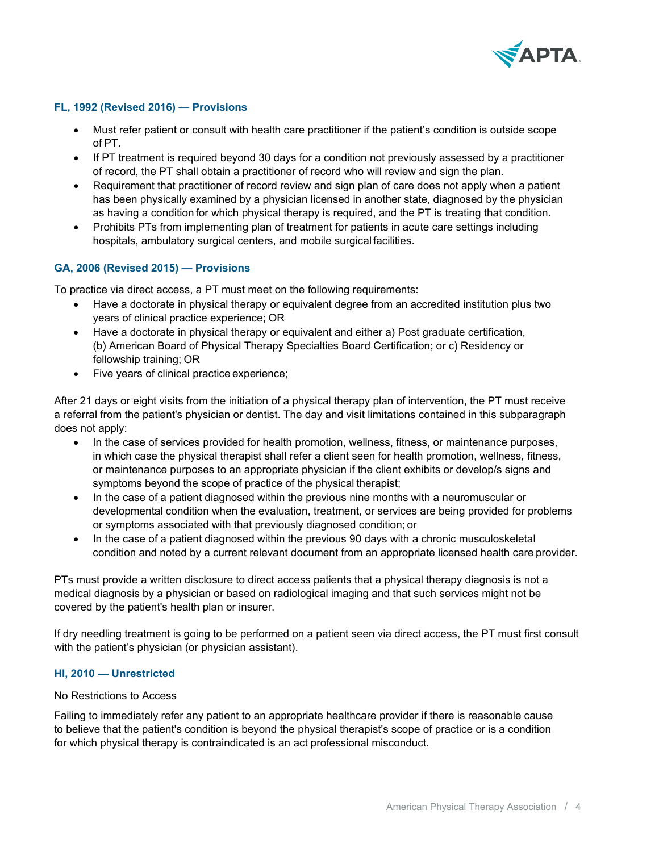

## **FL, 1992 (Revised 2016) — Provisions**

- Must refer patient or consult with health care practitioner if the patient's condition is outside scope of PT.
- If PT treatment is required beyond 30 days for a condition not previously assessed by a practitioner of record, the PT shall obtain a practitioner of record who will review and sign the plan.
- Requirement that practitioner of record review and sign plan of care does not apply when a patient has been physically examined by a physician licensed in another state, diagnosed by the physician as having a condition for which physical therapy is required, and the PT is treating that condition.
- Prohibits PTs from implementing plan of treatment for patients in acute care settings including hospitals, ambulatory surgical centers, and mobile surgical facilities.

#### **GA, 2006 (Revised 2015) — Provisions**

To practice via direct access, a PT must meet on the following requirements:

- Have a doctorate in physical therapy or equivalent degree from an accredited institution plus two years of clinical practice experience; OR
- Have a doctorate in physical therapy or equivalent and either a) Post graduate certification, (b) American Board of Physical Therapy Specialties Board Certification; or c) Residency or fellowship training; OR
- Five years of clinical practice experience;

After 21 days or eight visits from the initiation of a physical therapy plan of intervention, the PT must receive a referral from the patient's physician or dentist. The day and visit limitations contained in this subparagraph does not apply:

- In the case of services provided for health promotion, wellness, fitness, or maintenance purposes, in which case the physical therapist shall refer a client seen for health promotion, wellness, fitness, or maintenance purposes to an appropriate physician if the client exhibits or develop/s signs and symptoms beyond the scope of practice of the physical therapist;
- In the case of a patient diagnosed within the previous nine months with a neuromuscular or developmental condition when the evaluation, treatment, or services are being provided for problems or symptoms associated with that previously diagnosed condition; or
- In the case of a patient diagnosed within the previous 90 days with a chronic musculoskeletal condition and noted by a current relevant document from an appropriate licensed health care provider.

PTs must provide a written disclosure to direct access patients that a physical therapy diagnosis is not a medical diagnosis by a physician or based on radiological imaging and that such services might not be covered by the patient's health plan or insurer.

If dry needling treatment is going to be performed on a patient seen via direct access, the PT must first consult with the patient's physician (or physician assistant).

## **HI, 2010 — Unrestricted**

#### No Restrictions to Access

Failing to immediately refer any patient to an appropriate healthcare provider if there is reasonable cause to believe that the patient's condition is beyond the physical therapist's scope of practice or is a condition for which physical therapy is contraindicated is an act professional misconduct.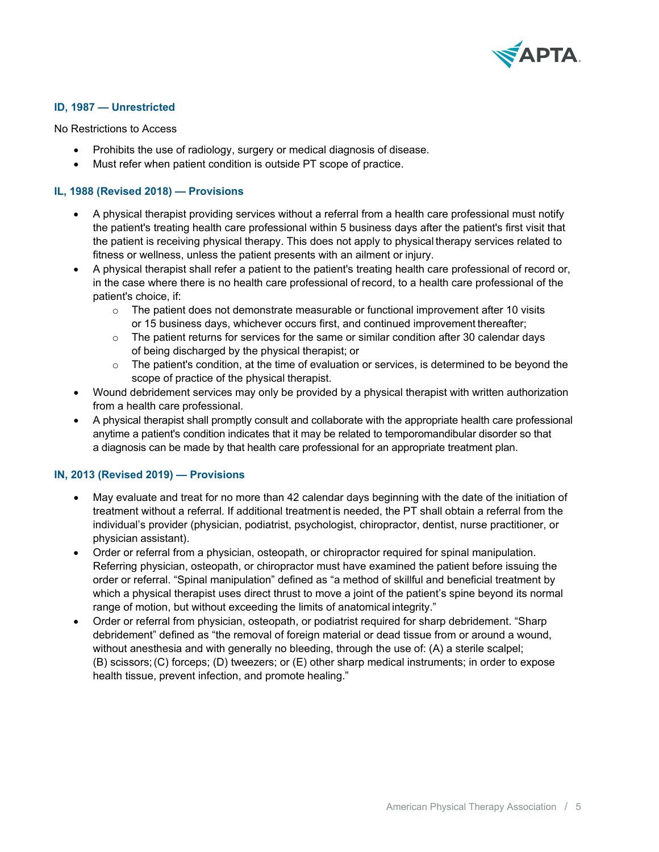

## **ID, 1987 — Unrestricted**

No Restrictions to Access

- Prohibits the use of radiology, surgery or medical diagnosis of disease.
- Must refer when patient condition is outside PT scope of practice.

## **IL, 1988 (Revised 2018) — Provisions**

- A physical therapist providing services without a referral from a health care professional must notify the patient's treating health care professional within 5 business days after the patient's first visit that the patient is receiving physical therapy. This does not apply to physical therapy services related to fitness or wellness, unless the patient presents with an ailment or injury.
- A physical therapist shall refer a patient to the patient's treating health care professional of record or, in the case where there is no health care professional of record, to a health care professional of the patient's choice, if:
	- $\circ$  The patient does not demonstrate measurable or functional improvement after 10 visits or 15 business days, whichever occurs first, and continued improvement thereafter;
	- $\circ$  The patient returns for services for the same or similar condition after 30 calendar days of being discharged by the physical therapist; or
	- $\circ$  The patient's condition, at the time of evaluation or services, is determined to be beyond the scope of practice of the physical therapist.
- Wound debridement services may only be provided by a physical therapist with written authorization from a health care professional.
- A physical therapist shall promptly consult and collaborate with the appropriate health care professional anytime a patient's condition indicates that it may be related to temporomandibular disorder so that a diagnosis can be made by that health care professional for an appropriate treatment plan.

#### **IN, 2013 (Revised 2019) — Provisions**

- May evaluate and treat for no more than 42 calendar days beginning with the date of the initiation of treatment without a referral. If additional treatment is needed, the PT shall obtain a referral from the individual's provider (physician, podiatrist, psychologist, chiropractor, dentist, nurse practitioner, or physician assistant).
- Order or referral from a physician, osteopath, or chiropractor required for spinal manipulation. Referring physician, osteopath, or chiropractor must have examined the patient before issuing the order or referral. "Spinal manipulation" defined as "a method of skillful and beneficial treatment by which a physical therapist uses direct thrust to move a joint of the patient's spine beyond its normal range of motion, but without exceeding the limits of anatomical integrity."
- Order or referral from physician, osteopath, or podiatrist required for sharp debridement. "Sharp debridement" defined as "the removal of foreign material or dead tissue from or around a wound, without anesthesia and with generally no bleeding, through the use of: (A) a sterile scalpel; (B) scissors;(C) forceps; (D) tweezers; or (E) other sharp medical instruments; in order to expose health tissue, prevent infection, and promote healing."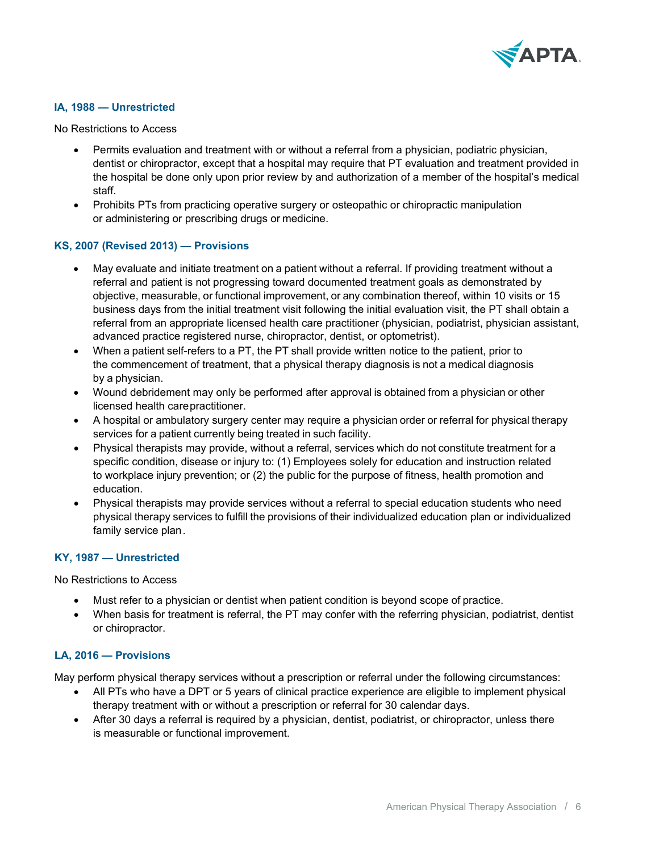

## **IA, 1988 — Unrestricted**

No Restrictions to Access

- Permits evaluation and treatment with or without a referral from a physician, podiatric physician, dentist or chiropractor, except that a hospital may require that PT evaluation and treatment provided in the hospital be done only upon prior review by and authorization of a member of the hospital's medical staff.
- Prohibits PTs from practicing operative surgery or osteopathic or chiropractic manipulation or administering or prescribing drugs or medicine.

#### **KS, 2007 (Revised 2013) — Provisions**

- May evaluate and initiate treatment on a patient without a referral. If providing treatment without a referral and patient is not progressing toward documented treatment goals as demonstrated by objective, measurable, or functional improvement, or any combination thereof, within 10 visits or 15 business days from the initial treatment visit following the initial evaluation visit, the PT shall obtain a referral from an appropriate licensed health care practitioner (physician, podiatrist, physician assistant, advanced practice registered nurse, chiropractor, dentist, or optometrist).
- When a patient self-refers to a PT, the PT shall provide written notice to the patient, prior to the commencement of treatment, that a physical therapy diagnosis is not a medical diagnosis by a physician.
- Wound debridement may only be performed after approval is obtained from a physician or other licensed health carepractitioner.
- A hospital or ambulatory surgery center may require a physician order or referral for physical therapy services for a patient currently being treated in such facility.
- Physical therapists may provide, without a referral, services which do not constitute treatment for a specific condition, disease or injury to: (1) Employees solely for education and instruction related to workplace injury prevention; or (2) the public for the purpose of fitness, health promotion and education.
- Physical therapists may provide services without a referral to special education students who need physical therapy services to fulfill the provisions of their individualized education plan or individualized family service plan.

#### **KY, 1987 — Unrestricted**

No Restrictions to Access

- Must refer to a physician or dentist when patient condition is beyond scope of practice.
- When basis for treatment is referral, the PT may confer with the referring physician, podiatrist, dentist or chiropractor.

#### **LA, 2016 — Provisions**

May perform physical therapy services without a prescription or referral under the following circumstances:

- All PTs who have a DPT or 5 years of clinical practice experience are eligible to implement physical therapy treatment with or without a prescription or referral for 30 calendar days.
- After 30 days a referral is required by a physician, dentist, podiatrist, or chiropractor, unless there is measurable or functional improvement.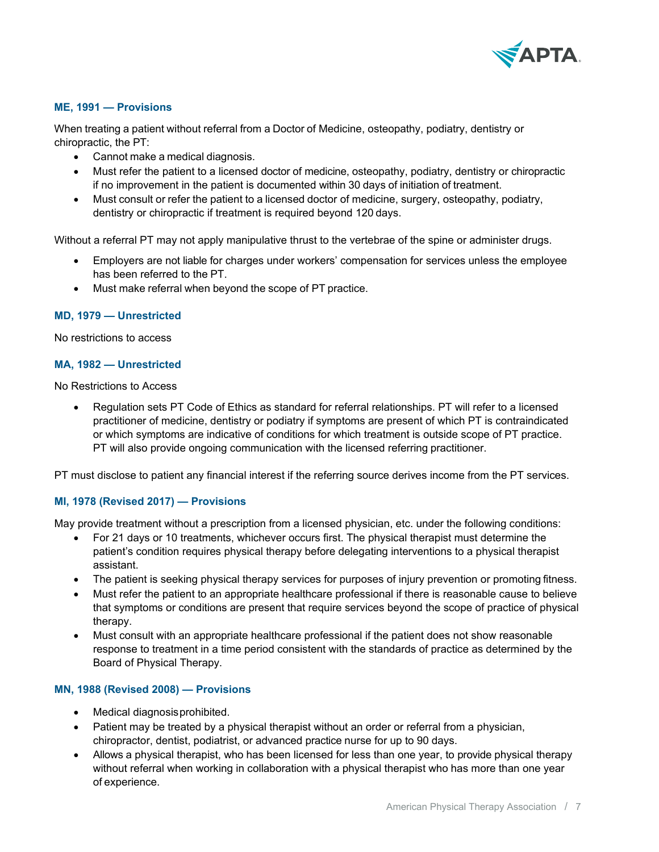

## **ME, 1991 — Provisions**

When treating a patient without referral from a Doctor of Medicine, osteopathy, podiatry, dentistry or chiropractic, the PT:

- Cannot make a medical diagnosis.
- Must refer the patient to a licensed doctor of medicine, osteopathy, podiatry, dentistry or chiropractic if no improvement in the patient is documented within 30 days of initiation of treatment.
- Must consult or refer the patient to a licensed doctor of medicine, surgery, osteopathy, podiatry, dentistry or chiropractic if treatment is required beyond 120 days.

Without a referral PT may not apply manipulative thrust to the vertebrae of the spine or administer drugs.

- Employers are not liable for charges under workers' compensation for services unless the employee has been referred to the PT.
- Must make referral when beyond the scope of PT practice.

#### **MD, 1979 — Unrestricted**

No restrictions to access

#### **MA, 1982 — Unrestricted**

No Restrictions to Access

• Regulation sets PT Code of Ethics as standard for referral relationships. PT will refer to a licensed practitioner of medicine, dentistry or podiatry if symptoms are present of which PT is contraindicated or which symptoms are indicative of conditions for which treatment is outside scope of PT practice. PT will also provide ongoing communication with the licensed referring practitioner.

PT must disclose to patient any financial interest if the referring source derives income from the PT services.

#### **MI, 1978 (Revised 2017) — Provisions**

May provide treatment without a prescription from a licensed physician, etc. under the following conditions:

- For 21 days or 10 treatments, whichever occurs first. The physical therapist must determine the patient's condition requires physical therapy before delegating interventions to a physical therapist assistant.
- The patient is seeking physical therapy services for purposes of injury prevention or promoting fitness.
- Must refer the patient to an appropriate healthcare professional if there is reasonable cause to believe that symptoms or conditions are present that require services beyond the scope of practice of physical therapy.
- Must consult with an appropriate healthcare professional if the patient does not show reasonable response to treatment in a time period consistent with the standards of practice as determined by the Board of Physical Therapy.

#### **MN, 1988 (Revised 2008) — Provisions**

- Medical diagnosis prohibited.
- Patient may be treated by a physical therapist without an order or referral from a physician, chiropractor, dentist, podiatrist, or advanced practice nurse for up to 90 days.
- Allows a physical therapist, who has been licensed for less than one year, to provide physical therapy without referral when working in collaboration with a physical therapist who has more than one year of experience.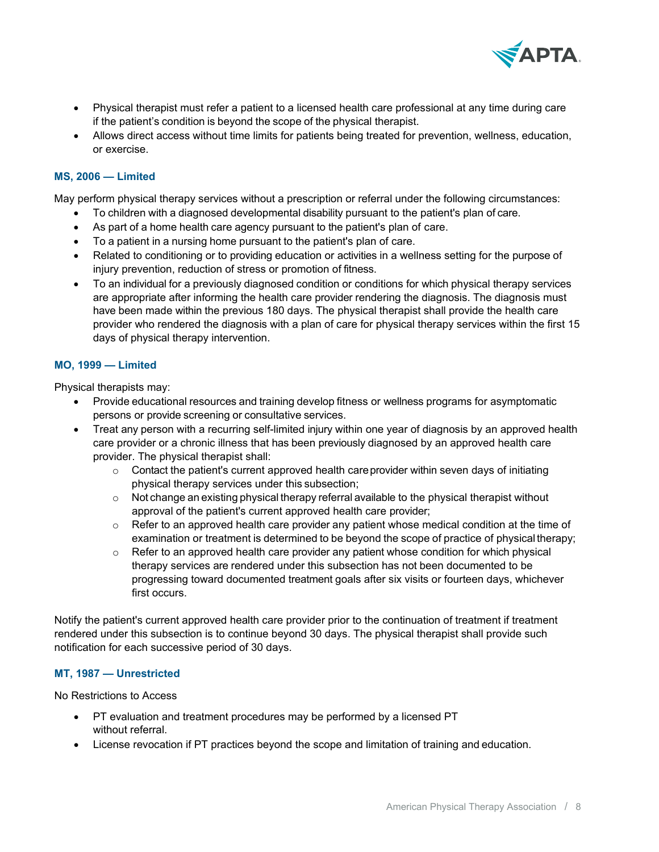

- Physical therapist must refer a patient to a licensed health care professional at any time during care if the patient's condition is beyond the scope of the physical therapist.
- Allows direct access without time limits for patients being treated for prevention, wellness, education, or exercise.

## **MS, 2006 — Limited**

May perform physical therapy services without a prescription or referral under the following circumstances:

- To children with a diagnosed developmental disability pursuant to the patient's plan of care.
- As part of a home health care agency pursuant to the patient's plan of care.
- To a patient in a nursing home pursuant to the patient's plan of care.
- Related to conditioning or to providing education or activities in a wellness setting for the purpose of injury prevention, reduction of stress or promotion of fitness.
- To an individual for a previously diagnosed condition or conditions for which physical therapy services are appropriate after informing the health care provider rendering the diagnosis. The diagnosis must have been made within the previous 180 days. The physical therapist shall provide the health care provider who rendered the diagnosis with a plan of care for physical therapy services within the first 15 days of physical therapy intervention.

#### **MO, 1999 — Limited**

Physical therapists may:

- Provide educational resources and training develop fitness or wellness programs for asymptomatic persons or provide screening or consultative services.
- Treat any person with a recurring self-limited injury within one year of diagnosis by an approved health care provider or a chronic illness that has been previously diagnosed by an approved health care provider. The physical therapist shall:
	- $\circ$  Contact the patient's current approved health care provider within seven days of initiating physical therapy services under this subsection;
	- $\circ$  Not change an existing physical therapy referral available to the physical therapist without approval of the patient's current approved health care provider;
	- $\circ$  Refer to an approved health care provider any patient whose medical condition at the time of examination or treatment is determined to be beyond the scope of practice of physical therapy;
	- $\circ$  Refer to an approved health care provider any patient whose condition for which physical therapy services are rendered under this subsection has not been documented to be progressing toward documented treatment goals after six visits or fourteen days, whichever first occurs.

Notify the patient's current approved health care provider prior to the continuation of treatment if treatment rendered under this subsection is to continue beyond 30 days. The physical therapist shall provide such notification for each successive period of 30 days.

#### **MT, 1987 — Unrestricted**

No Restrictions to Access

- PT evaluation and treatment procedures may be performed by a licensed PT without referral.
- License revocation if PT practices beyond the scope and limitation of training and education.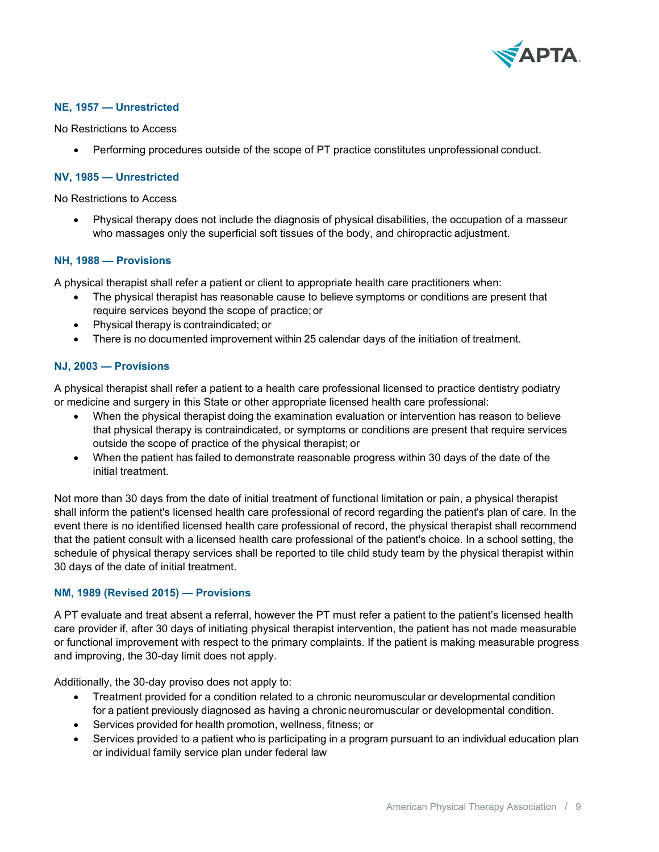

## **NE, 1957 — Unrestricted**

No Restrictions to Access

• Performing procedures outside of the scope of PT practice constitutes unprofessional conduct.

## **NV, 1985 — Unrestricted**

No Restrictions to Access

• Physical therapy does not include the diagnosis of physical disabilities, the occupation of a masseur who massages only the superficial soft tissues of the body, and chiropractic adjustment.

#### **NH, 1988 — Provisions**

A physical therapist shall refer a patient or client to appropriate health care practitioners when:

- The physical therapist has reasonable cause to believe symptoms or conditions are present that require services beyond the scope of practice; or
- Physical therapy is contraindicated; or
- There is no documented improvement within 25 calendar days of the initiation of treatment.

#### **NJ, 2003 — Provisions**

A physical therapist shall refer a patient to a health care professional licensed to practice dentistry podiatry or medicine and surgery in this State or other appropriate licensed health care professional:

- When the physical therapist doing the examination evaluation or intervention has reason to believe that physical therapy is contraindicated, or symptoms or conditions are present that require services outside the scope of practice of the physical therapist; or
- When the patient has failed to demonstrate reasonable progress within 30 days of the date of the initial treatment.

Not more than 30 days from the date of initial treatment of functional limitation or pain, a physical therapist shall inform the patient's licensed health care professional of record regarding the patient's plan of care. In the event there is no identified licensed health care professional of record, the physical therapist shall recommend that the patient consult with a licensed health care professional of the patient's choice. In a school setting, the schedule of physical therapy services shall be reported to tile child study team by the physical therapist within 30 days of the date of initial treatment.

#### **NM, 1989 (Revised 2015) — Provisions**

A PT evaluate and treat absent a referral, however the PT must refer a patient to the patient's licensed health care provider if, after 30 days of initiating physical therapist intervention, the patient has not made measurable or functional improvement with respect to the primary complaints. If the patient is making measurable progress and improving, the 30-day limit does not apply.

Additionally, the 30-day proviso does not apply to:

- Treatment provided for a condition related to a chronic neuromuscular or developmental condition for a patient previously diagnosed as having a chronicneuromuscular or developmental condition.
- Services provided for health promotion, wellness, fitness; or
- Services provided to a patient who is participating in a program pursuant to an individual education plan or individual family service plan under federal law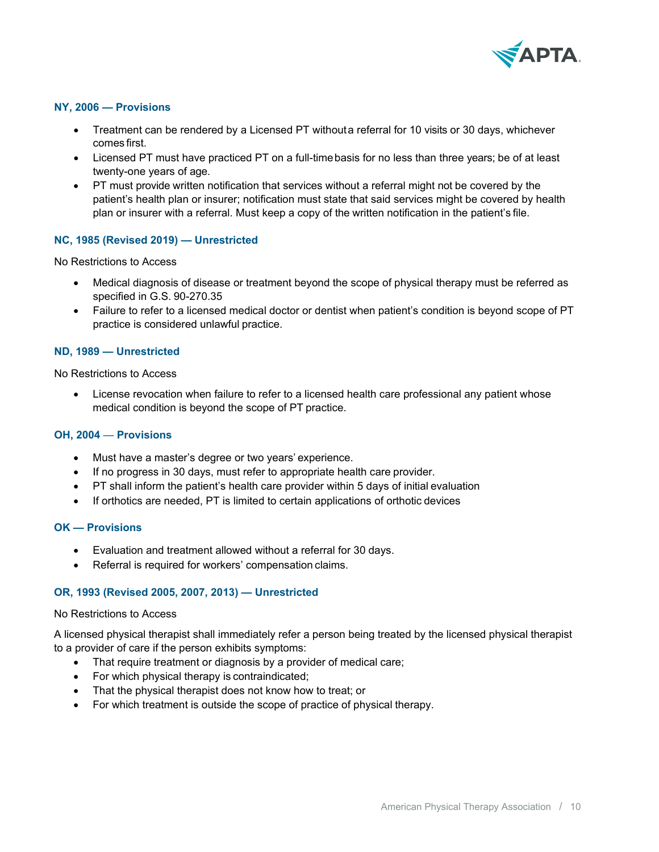

## **NY, 2006 — Provisions**

- Treatment can be rendered by a Licensed PT withouta referral for 10 visits or 30 days, whichever comes first.
- Licensed PT must have practiced PT on a full-timebasis for no less than three years; be of at least twenty-one years of age.
- PT must provide written notification that services without a referral might not be covered by the patient's health plan or insurer; notification must state that said services might be covered by health plan or insurer with a referral. Must keep a copy of the written notification in the patient's file.

## **NC, 1985 (Revised 2019) — Unrestricted**

No Restrictions to Access

- Medical diagnosis of disease or treatment beyond the scope of physical therapy must be referred as specified in G.S. 90-270.35
- Failure to refer to a licensed medical doctor or dentist when patient's condition is beyond scope of PT practice is considered unlawful practice.

#### **ND, 1989 — Unrestricted**

No Restrictions to Access

• License revocation when failure to refer to a licensed health care professional any patient whose medical condition is beyond the scope of PT practice.

#### **OH, 2004** — **Provisions**

- Must have a master's degree or two years' experience.
- If no progress in 30 days, must refer to appropriate health care provider.
- PT shall inform the patient's health care provider within 5 days of initial evaluation
- If orthotics are needed, PT is limited to certain applications of orthotic devices

#### **OK — Provisions**

- Evaluation and treatment allowed without a referral for 30 days.
- Referral is required for workers' compensation claims.

## **OR, 1993 (Revised 2005, 2007, 2013) — Unrestricted**

#### No Restrictions to Access

A licensed physical therapist shall immediately refer a person being treated by the licensed physical therapist to a provider of care if the person exhibits symptoms:

- That require treatment or diagnosis by a provider of medical care;
- For which physical therapy is contraindicated;
- That the physical therapist does not know how to treat; or
- For which treatment is outside the scope of practice of physical therapy.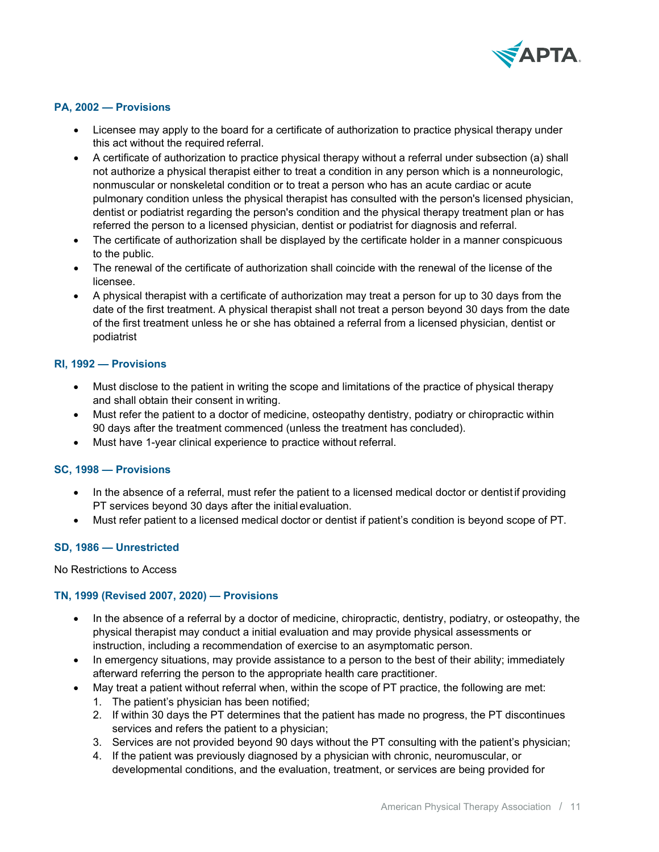

## **PA, 2002 — Provisions**

- Licensee may apply to the board for a certificate of authorization to practice physical therapy under this act without the required referral.
- A certificate of authorization to practice physical therapy without a referral under subsection (a) shall not authorize a physical therapist either to treat a condition in any person which is a nonneurologic, nonmuscular or nonskeletal condition or to treat a person who has an acute cardiac or acute pulmonary condition unless the physical therapist has consulted with the person's licensed physician, dentist or podiatrist regarding the person's condition and the physical therapy treatment plan or has referred the person to a licensed physician, dentist or podiatrist for diagnosis and referral.
- The certificate of authorization shall be displayed by the certificate holder in a manner conspicuous to the public.
- The renewal of the certificate of authorization shall coincide with the renewal of the license of the licensee.
- A physical therapist with a certificate of authorization may treat a person for up to 30 days from the date of the first treatment. A physical therapist shall not treat a person beyond 30 days from the date of the first treatment unless he or she has obtained a referral from a licensed physician, dentist or podiatrist

#### **RI, 1992 — Provisions**

- Must disclose to the patient in writing the scope and limitations of the practice of physical therapy and shall obtain their consent in writing.
- Must refer the patient to a doctor of medicine, osteopathy dentistry, podiatry or chiropractic within 90 days after the treatment commenced (unless the treatment has concluded).
- Must have 1-year clinical experience to practice without referral.

#### **SC, 1998 — Provisions**

- In the absence of a referral, must refer the patient to a licensed medical doctor or dentist if providing PT services beyond 30 days after the initial evaluation.
- Must refer patient to a licensed medical doctor or dentist if patient's condition is beyond scope of PT.

## **SD, 1986 — Unrestricted**

#### No Restrictions to Access

## **TN, 1999 (Revised 2007, 2020) — Provisions**

- In the absence of a referral by a doctor of medicine, chiropractic, dentistry, podiatry, or osteopathy, the physical therapist may conduct a initial evaluation and may provide physical assessments or instruction, including a recommendation of exercise to an asymptomatic person.
- In emergency situations, may provide assistance to a person to the best of their ability; immediately afterward referring the person to the appropriate health care practitioner.
- May treat a patient without referral when, within the scope of PT practice, the following are met:
	- 1. The patient's physician has been notified;
	- 2. If within 30 days the PT determines that the patient has made no progress, the PT discontinues services and refers the patient to a physician;
	- 3. Services are not provided beyond 90 days without the PT consulting with the patient's physician;
	- 4. If the patient was previously diagnosed by a physician with chronic, neuromuscular, or developmental conditions, and the evaluation, treatment, or services are being provided for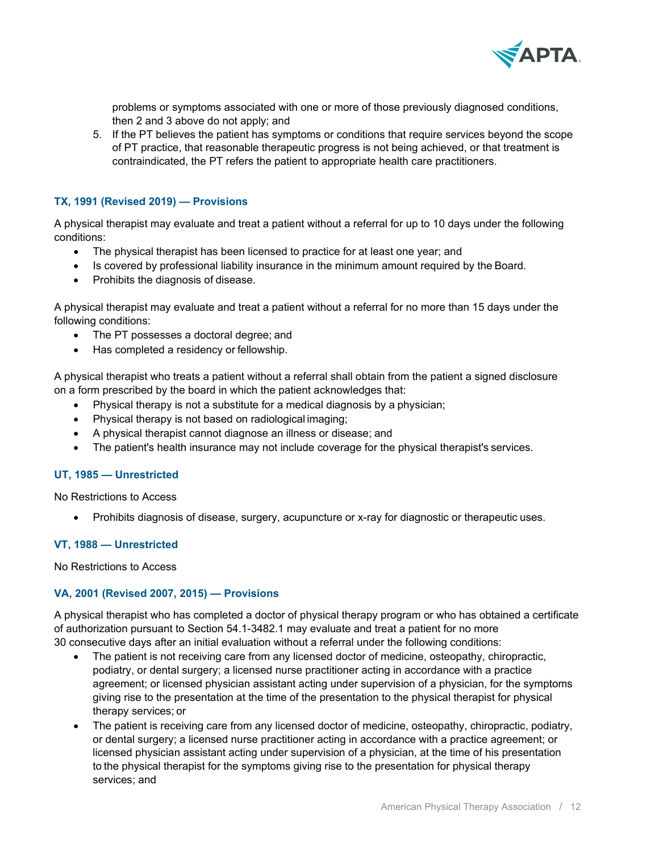

problems or symptoms associated with one or more of those previously diagnosed conditions, then 2 and 3 above do not apply; and

5. If the PT believes the patient has symptoms or conditions that require services beyond the scope of PT practice, that reasonable therapeutic progress is not being achieved, or that treatment is contraindicated, the PT refers the patient to appropriate health care practitioners.

## **TX, 1991 (Revised 2019) — Provisions**

A physical therapist may evaluate and treat a patient without a referral for up to 10 days under the following conditions:

- The physical therapist has been licensed to practice for at least one year; and
- Is covered by professional liability insurance in the minimum amount required by the Board.
- Prohibits the diagnosis of disease.

A physical therapist may evaluate and treat a patient without a referral for no more than 15 days under the following conditions:

- The PT possesses a doctoral degree; and
- Has completed a residency or fellowship.

A physical therapist who treats a patient without a referral shall obtain from the patient a signed disclosure on a form prescribed by the board in which the patient acknowledges that:

- Physical therapy is not a substitute for a medical diagnosis by a physician;
- Physical therapy is not based on radiological imaging;
- A physical therapist cannot diagnose an illness or disease; and
- The patient's health insurance may not include coverage for the physical therapist's services.

#### **UT, 1985 — Unrestricted**

No Restrictions to Access

• Prohibits diagnosis of disease, surgery, acupuncture or x-ray for diagnostic or therapeutic uses.

#### **VT, 1988 — Unrestricted**

No Restrictions to Access

#### **VA, 2001 (Revised 2007, 2015) — Provisions**

A physical therapist who has completed a doctor of physical therapy program or who has obtained a certificate of authorization pursuant to Section 54.1-3482.1 may evaluate and treat a patient for no more 30 consecutive days after an initial evaluation without a referral under the following conditions:

- The patient is not receiving care from any licensed doctor of medicine, osteopathy, chiropractic, podiatry, or dental surgery; a licensed nurse practitioner acting in accordance with a practice agreement; or licensed physician assistant acting under supervision of a physician, for the symptoms giving rise to the presentation at the time of the presentation to the physical therapist for physical therapy services; or
- The patient is receiving care from any licensed doctor of medicine, osteopathy, chiropractic, podiatry, or dental surgery; a licensed nurse practitioner acting in accordance with a practice agreement; or licensed physician assistant acting under supervision of a physician, at the time of his presentation to the physical therapist for the symptoms giving rise to the presentation for physical therapy services; and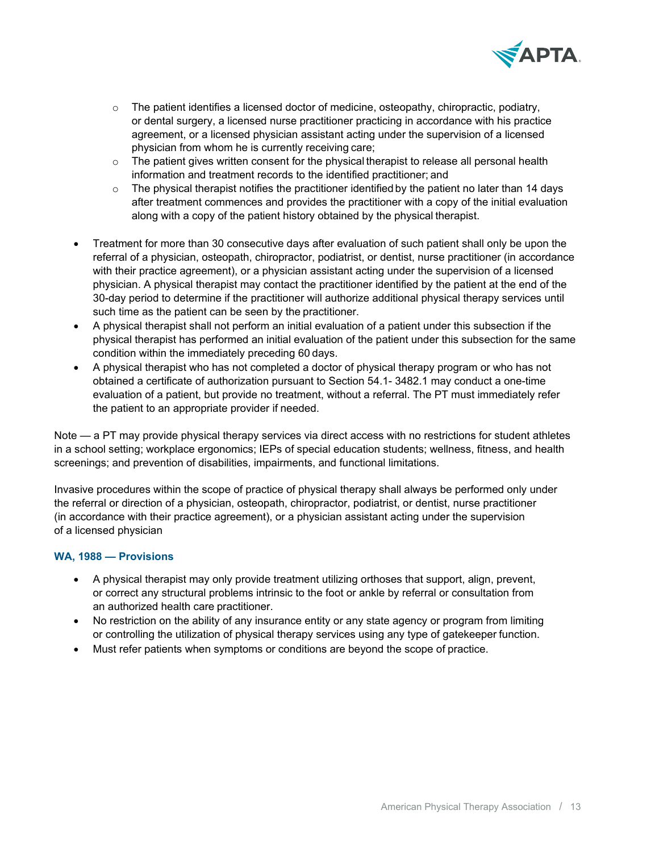

- $\circ$  The patient identifies a licensed doctor of medicine, osteopathy, chiropractic, podiatry, or dental surgery, a licensed nurse practitioner practicing in accordance with his practice agreement, or a licensed physician assistant acting under the supervision of a licensed physician from whom he is currently receiving care;
- $\circ$  The patient gives written consent for the physical therapist to release all personal health information and treatment records to the identified practitioner; and
- $\circ$  The physical therapist notifies the practitioner identified by the patient no later than 14 days after treatment commences and provides the practitioner with a copy of the initial evaluation along with a copy of the patient history obtained by the physical therapist.
- Treatment for more than 30 consecutive days after evaluation of such patient shall only be upon the referral of a physician, osteopath, chiropractor, podiatrist, or dentist, nurse practitioner (in accordance with their practice agreement), or a physician assistant acting under the supervision of a licensed physician. A physical therapist may contact the practitioner identified by the patient at the end of the 30-day period to determine if the practitioner will authorize additional physical therapy services until such time as the patient can be seen by the practitioner.
- A physical therapist shall not perform an initial evaluation of a patient under this subsection if the physical therapist has performed an initial evaluation of the patient under this subsection for the same condition within the immediately preceding 60 days.
- A physical therapist who has not completed a doctor of physical therapy program or who has not obtained a certificate of authorization pursuant to Section 54.1- 3482.1 may conduct a one-time evaluation of a patient, but provide no treatment, without a referral. The PT must immediately refer the patient to an appropriate provider if needed.

Note — a PT may provide physical therapy services via direct access with no restrictions for student athletes in a school setting; workplace ergonomics; IEPs of special education students; wellness, fitness, and health screenings; and prevention of disabilities, impairments, and functional limitations.

Invasive procedures within the scope of practice of physical therapy shall always be performed only under the referral or direction of a physician, osteopath, chiropractor, podiatrist, or dentist, nurse practitioner (in accordance with their practice agreement), or a physician assistant acting under the supervision of a licensed physician

## **WA, 1988 — Provisions**

- A physical therapist may only provide treatment utilizing orthoses that support, align, prevent, or correct any structural problems intrinsic to the foot or ankle by referral or consultation from an authorized health care practitioner.
- No restriction on the ability of any insurance entity or any state agency or program from limiting or controlling the utilization of physical therapy services using any type of gatekeeper function.
- Must refer patients when symptoms or conditions are beyond the scope of practice.